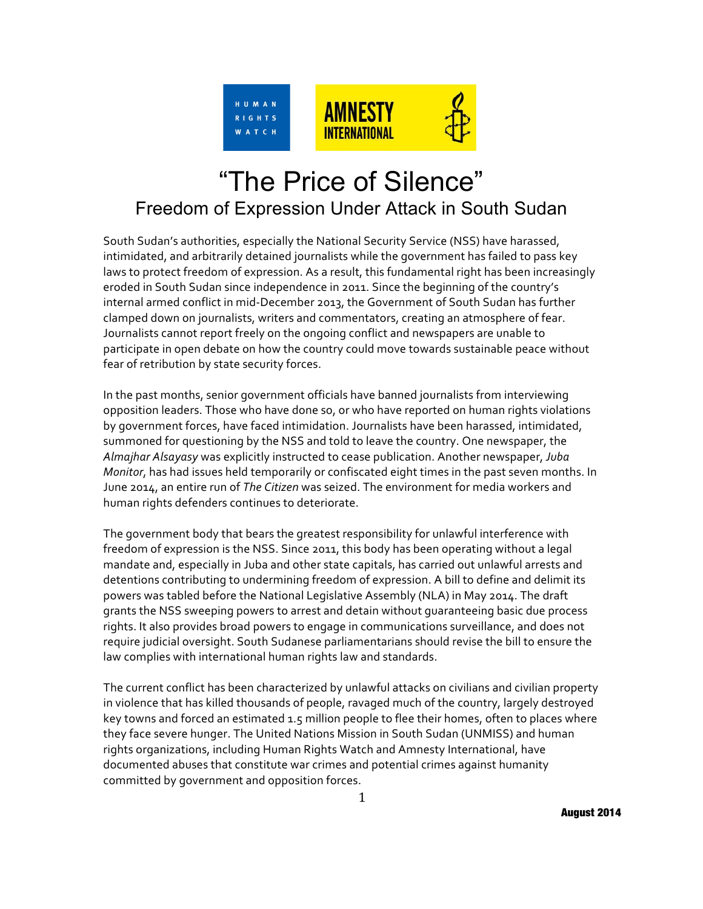

# "The Price of Silence" Freedom of Expression Under Attack in South Sudan

South Sudan's authorities, especially the National Security Service (NSS) have harassed, intimidated, and arbitrarily detained journalists while the government has failed to pass key laws to protect freedom of expression. As a result, this fundamental right has been increasingly eroded in South Sudan since independence in 2011. Since the beginning of the country's internal armed conflict in mid-December 2013, the Government of South Sudan has further clamped down on journalists, writers and commentators, creating an atmosphere of fear. Journalists cannot report freely on the ongoing conflict and newspapers are unable to participate in open debate on how the country could move towards sustainable peace without fear of retribution by state security forces.

In the past months, senior government officials have banned journalists from interviewing opposition leaders. Those who have done so, or who have reported on human rights violations by government forces, have faced intimidation. Journalists have been harassed, intimidated, summoned for questioning by the NSS and told to leave the country. One newspaper, the Almajhar Alsayasy was explicitly instructed to cease publication. Another newspaper, *Juba Monitor*, has had issues held temporarily or confiscated eight times in the past seven months. In June 2014, an entire run of The Citizen was seized. The environment for media workers and human rights defenders continues to deteriorate.

The government body that bears the greatest responsibility for unlawful interference with freedom of expression is the NSS. Since 2011, this body has been operating without a legal mandate and, especially in Juba and other state capitals, has carried out unlawful arrests and detentions contributing to undermining freedom of expression. A bill to define and delimit its powers was tabled before the National Legislative Assembly (NLA) in May 2014. The draft grants the NSS sweeping powers to arrest and detain without quaranteeing basic due process rights. It also provides broad powers to engage in communications surveillance, and does not require judicial oversight. South Sudanese parliamentarians should revise the bill to ensure the law complies with international human rights law and standards.

The current conflict has been characterized by unlawful attacks on civilians and civilian property in violence that has killed thousands of people, ravaged much of the country, largely destroyed key towns and forced an estimated 1.5 million people to flee their homes, often to places where they face severe hunger. The United Nations Mission in South Sudan (UNMISS) and human rights organizations, including Human Rights Watch and Amnesty International, have documented abuses that constitute war crimes and potential crimes against humanity committed by government and opposition forces.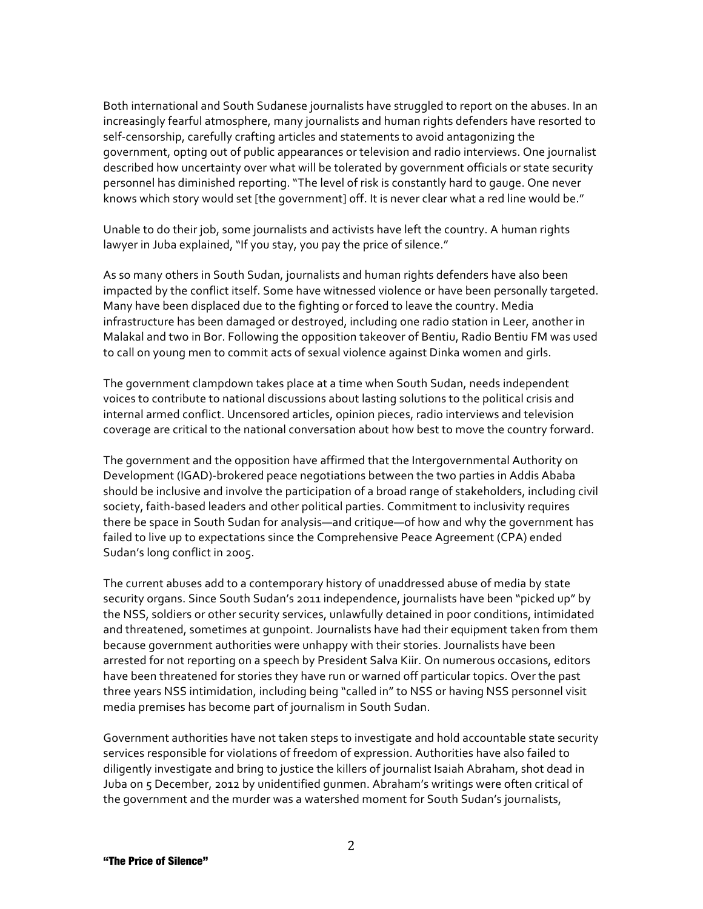Both international and South Sudanese journalists have struggled to report on the abuses. In an increasingly fearful atmosphere, many journalists and human rights defenders have resorted to self-censorship, carefully crafting articles and statements to avoid antagonizing the government, opting out of public appearances or television and radio interviews. One journalist described how uncertainty over what will be tolerated by government officials or state security personnel has diminished reporting. "The level of risk is constantly hard to gauge. One never knows which story would set [the government] off. It is never clear what a red line would be."

Unable to do their job, some journalists and activists have left the country. A human rights lawyer in Juba explained, "If you stay, you pay the price of silence."

As so many others in South Sudan, journalists and human rights defenders have also been impacted by the conflict itself. Some have witnessed violence or have been personally targeted. Many have been displaced due to the fighting or forced to leave the country. Media infrastructure has been damaged or destroyed, including one radio station in Leer, another in Malakal and two in Bor. Following the opposition takeover of Bentiu, Radio Bentiu FM was used to call on young men to commit acts of sexual violence against Dinka women and girls.

The government clampdown takes place at a time when South Sudan, needs independent voices to contribute to national discussions about lasting solutions to the political crisis and internal armed conflict. Uncensored articles, opinion pieces, radio interviews and television coverage are critical to the national conversation about how best to move the country forward.

The government and the opposition have affirmed that the Intergovernmental Authority on Development (IGAD)-brokered peace negotiations between the two parties in Addis Ababa should be inclusive and involve the participation of a broad range of stakeholders, including civil society, faith-based leaders and other political parties. Commitment to inclusivity requires there be space in South Sudan for analysis—and critique—of how and why the government has failed to live up to expectations since the Comprehensive Peace Agreement (CPA) ended Sudan's long conflict in 2005.

The current abuses add to a contemporary history of unaddressed abuse of media by state security organs. Since South Sudan's 2011 independence, journalists have been "picked up" by the NSS, soldiers or other security services, unlawfully detained in poor conditions, intimidated and threatened, sometimes at qunpoint. Journalists have had their equipment taken from them because government authorities were unhappy with their stories. Journalists have been arrested for not reporting on a speech by President Salva Kiir. On numerous occasions, editors have been threatened for stories they have run or warned off particular topics. Over the past three years NSS intimidation, including being "called in" to NSS or having NSS personnel visit media premises has become part of journalism in South Sudan.

Government authorities have not taken steps to investigate and hold accountable state security services responsible for violations of freedom of expression. Authorities have also failed to diligently investigate and bring to justice the killers of journalist Isaiah Abraham, shot dead in Juba on 5 December, 2012 by unidentified gunmen. Abraham's writings were often critical of the government and the murder was a watershed moment for South Sudan's journalists,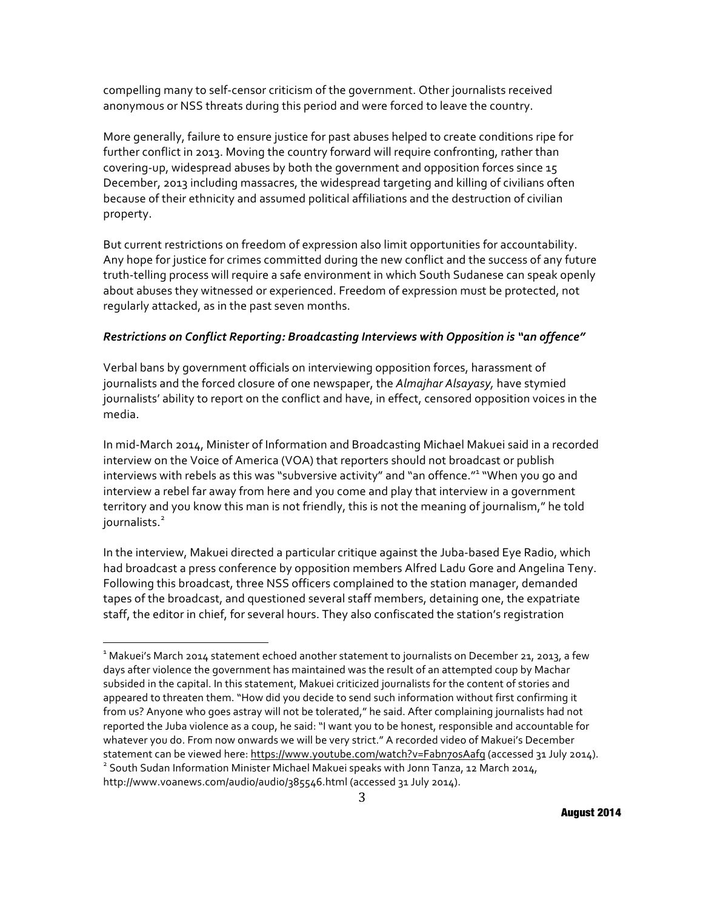compelling many to self-censor criticism of the government. Other journalists received anonymous or NSS threats during this period and were forced to leave the country.

More generally, failure to ensure justice for past abuses helped to create conditions ripe for further conflict in 2013. Moving the country forward will require confronting, rather than covering-up, widespread abuses by both the government and opposition forces since 15 December, 2013 including massacres, the widespread targeting and killing of civilians often because of their ethnicity and assumed political affiliations and the destruction of civilian property.

But current restrictions on freedom of expression also limit opportunities for accountability. Any hope for justice for crimes committed during the new conflict and the success of any future truth-telling process will require a safe environment in which South Sudanese can speak openly about abuses they witnessed or experienced. Freedom of expression must be protected, not regularly attacked, as in the past seven months.

## *Restrictions\*on Conflict\*Reporting:\*Broadcasting\*Interviews\*with\*Opposition is "an\*offence"*

Verbal bans by government officials on interviewing opposition forces, harassment of journalists and the forced closure of one newspaper, the Almajhar Alsayasy, have stymied journalists' ability to report on the conflict and have, in effect, censored opposition voices in the media.

In mid-March 2014, Minister of Information and Broadcasting Michael Makuei said in a recorded interview on the Voice of America (VOA) that reporters should not broadcast or publish interviews with rebels as this was "subversive activity" and "an offence."<sup>1</sup> "When you go and interview a rebel far away from here and you come and play that interview in a government territory and you know this man is not friendly, this is not the meaning of journalism," he told journalists.<sup>2</sup>

In the interview, Makuei directed a particular critique against the Juba-based Eye Radio, which had broadcast a press conference by opposition members Alfred Ladu Gore and Angelina Teny. Following this broadcast, three NSS officers complained to the station manager, demanded tapes of the broadcast, and questioned several staff members, detaining one, the expatriate staff, the editor in chief, for several hours. They also confiscated the station's registration

ender the Nardal March 2014<br>I Makuei's March 2014 statement echoed another statement to journalists on December 21, 2013, a few " days after violence the government has maintained was the result of an attempted coup by Machar subsided in the capital. In this statement, Makuei criticized journalists for the content of stories and appeared to threaten them. "How did you decide to send such information without first confirming it from us? Anyone who goes astray will not be tolerated," he said. After complaining journalists had not reported the Juba violence as a coup, he said: "I want you to be honest, responsible and accountable for whatever you do. From now onwards we will be very strict." A recorded video of Makuei's December statement can be viewed here: <u>https://www.youtube.com/watch?v=Fabn7osAafg</u> (accessed 31 July 2014).<br><sup>2</sup> South Sudan Information Minister Michael Makuei speaks with Jonn Tanza, 12 March 2014,

http://www.voanews.com/audio/audio/385546.html (accessed 31 July 2014).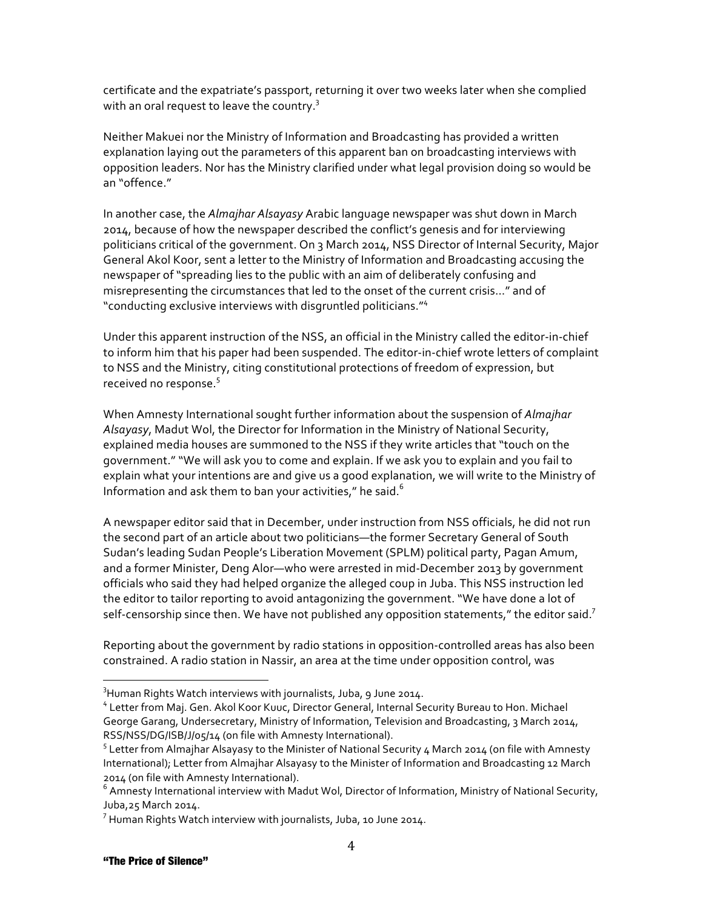certificate and the expatriate's passport, returning it over two weeks later when she complied with an oral request to leave the country. $3$ 

Neither Makuei nor the Ministry of Information and Broadcasting has provided a written explanation laying out the parameters of this apparent ban on broadcasting interviews with opposition leaders. Nor has the Ministry clarified under what legal provision doing so would be an "offence"

In another case, the *Almajhar Alsayasy* Arabic language newspaper was shut down in March 2014, because of how the newspaper described the conflict's genesis and for interviewing politicians critical of the government. On 3 March 2014, NSS Director of Internal Security, Major General Akol Koor, sent a letter to the Ministry of Information and Broadcasting accusing the newspaper of "spreading lies to the public with an aim of deliberately confusing and misrepresenting the circumstances that led to the onset of the current crisis..." and of "conducting exclusive interviews with disgruntled politicians."<sup>4</sup>

Under this apparent instruction of the NSS, an official in the Ministry called the editor-in-chief to inform him that his paper had been suspended. The editor-in-chief wrote letters of complaint to NSS and the Ministry, citing constitutional protections of freedom of expression, but received no response. $5$ 

When Amnesty International sought further information about the suspension of Almajhar Alsayasy, Madut Wol, the Director for Information in the Ministry of National Security, explained media houses are summoned to the NSS if they write articles that "touch on the government." "We will ask you to come and explain. If we ask you to explain and you fail to explain what your intentions are and give us a good explanation, we will write to the Ministry of Information and ask them to ban your activities," he said.<sup>6</sup>

A newspaper editor said that in December, under instruction from NSS officials, he did not run the second part of an article about two politicians—the former Secretary General of South Sudan's leading Sudan People's Liberation Movement (SPLM) political party, Pagan Amum, and a former Minister, Deng Alor—who were arrested in mid-December 2013 by government officials who said they had helped organize the alleged coup in Juba. This NSS instruction led the editor to tailor reporting to avoid antagonizing the government. "We have done a lot of self-censorship since then. We have not published any opposition statements," the editor said.<sup>7</sup>

Reporting about the government by radio stations in opposition-controlled areas has also been constrained. A radio station in Nassir, an area at the time under opposition control, was

<sup>&</sup>lt;u>.</u><br><sup>3</sup>Human Rights Watch interviews with journalists, Juba, 9 June 2014.

<sup>&</sup>lt;sup>4</sup> Letter from Maj. Gen. Akol Koor Kuuc, Director General, Internal Security Bureau to Hon. Michael George Garang, Undersecretary, Ministry of Information, Television and Broadcasting, 3 March 2014, RSS/NSS/DG/ISB/J/05/14 (on file with Amnesty International).

<sup>&</sup>lt;sup>5</sup> Letter from Almajhar Alsayasy to the Minister of National Security 4 March 2014 (on file with Amnesty International); Letter from Almajhar Alsayasy to the Minister of Information and Broadcasting 12 March 2014 (on file with Amnesty International).

 $6$  Amnesty International interview with Madut Wol, Director of Information, Ministry of National Security, Juba, 25 March 2014.

<sup>&</sup>lt;sup>7</sup> Human Rights Watch interview with journalists, Juba, 10 June 2014.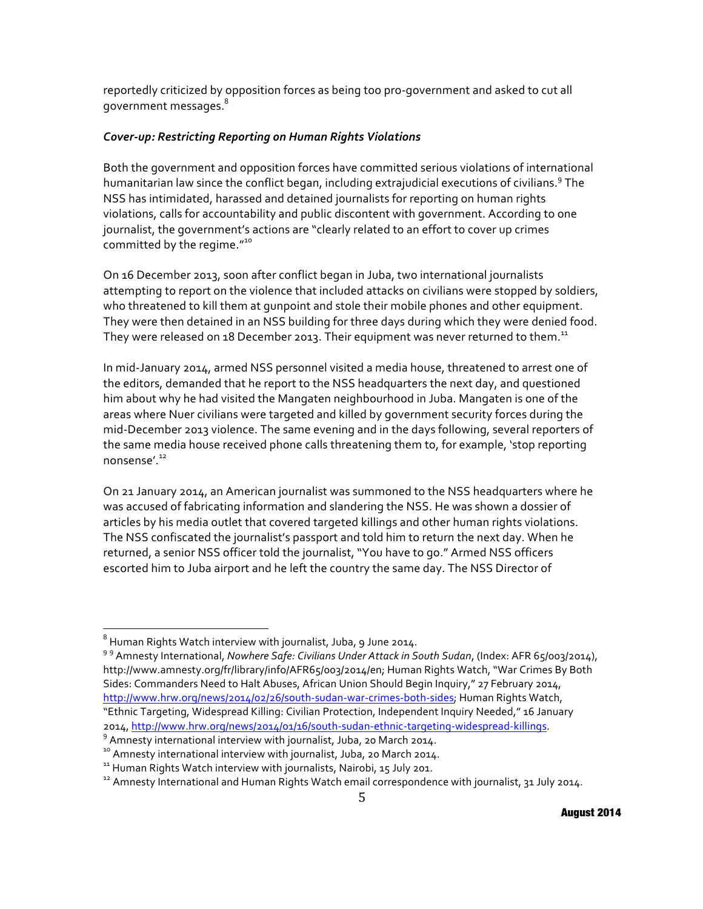reportedly criticized by opposition forces as being too pro-government and asked to cut all government messages.<sup>8</sup>

## *Cover;up:\*Restricting\*Reporting\*on Human\*Rights\*Violations*

Both the government and opposition forces have committed serious violations of international humanitarian law since the conflict began, including extrajudicial executions of civilians.<sup>9</sup> The NSS has intimidated, harassed and detained journalists for reporting on human rights violations, calls for accountability and public discontent with government. According to one journalist, the government's actions are "clearly related to an effort to cover up crimes committed by the regime. $^{\prime\prime^{10}}$ 

On 16 December 2013, soon after conflict began in Juba, two international journalists attempting to report on the violence that included attacks on civilians were stopped by soldiers, who threatened to kill them at gunpoint and stole their mobile phones and other equipment. They were then detained in an NSS building for three days during which they were denied food. They were released on 18 December 2013. Their equipment was never returned to them.<sup>11</sup>

In mid-January 2014, armed NSS personnel visited a media house, threatened to arrest one of the editors, demanded that he report to the NSS headquarters the next day, and questioned him about why he had visited the Mangaten neighbourhood in Juba. Mangaten is one of the areas where Nuer civilians were targeted and killed by government security forces during the mid-December 2013 violence. The same evening and in the days following, several reporters of the same media house received phone calls threatening them to, for example, 'stop reporting nonsense'.<sup>12</sup>

On 21 January 2014, an American journalist was summoned to the NSS headquarters where he was accused of fabricating information and slandering the NSS. He was shown a dossier of articles by his media outlet that covered targeted killings and other human rights violations. The NSS confiscated the journalist's passport and told him to return the next day. When he returned, a senior NSS officer told the journalist, "You have to go." Armed NSS officers escorted him to Juba airport and he left the country the same day. The NSS Director of

 $8$  Human Rights Watch interview with journalist, Juba, 9 June 2014.

<sup>99</sup> Amnesty International, *Nowhere Safe: Civilians Under Attack in South Sudan*, (Index: AFR 65/003/2014), http://www.amnesty.org/fr/library/info/AFR65/003/2014/en; Human Rights Watch, "War Crimes By Both Sides: Commanders Need to Halt Abuses, African Union Should Begin Inquiry," 27 February 2014, http://www.hrw.org/news/2014/02/26/south-sudan-war-crimes-both-sides; Human Rights Watch, "Ethnic Targeting, Widespread Killing: Civilian Protection, Independent Inquiry Needed," 16 January 2014, <u>http://www.hrw.org/news/2014/01/16/south-sudan-ethnic-targeting-widespread-killings.</u><br><sup>9</sup> Amnesty international interview with journalist, Juba, 20 March 2014.<br><sup>10</sup> Amnesty international interview with journalist, J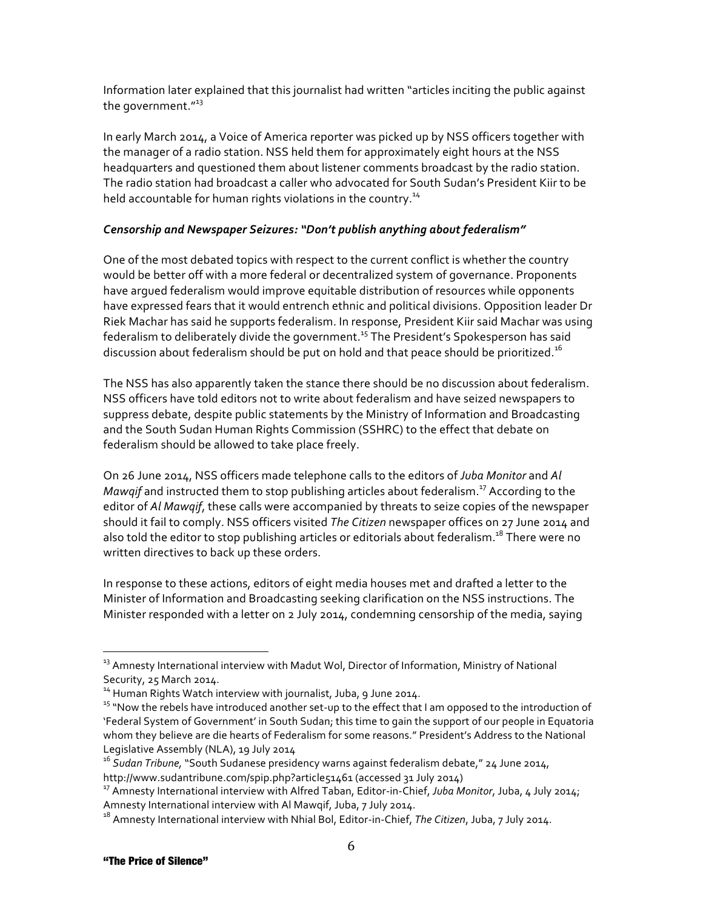Information later explained that this journalist had written "articles inciting the public against the government."<sup>13</sup>

In early March 2014, a Voice of America reporter was picked up by NSS officers together with the manager of a radio station. NSS held them for approximately eight hours at the NSS headquarters and questioned them about listener comments broadcast by the radio station. The radio station had broadcast a caller who advocated for South Sudan's President Kiir to be held accountable for human rights violations in the country.<sup>14</sup>

# *Censorship and Newspaper Seizures: "Don't publish anything about federalism"*

One of the most debated topics with respect to the current conflict is whether the country would be better off with a more federal or decentralized system of governance. Proponents have argued federalism would improve equitable distribution of resources while opponents have expressed fears that it would entrench ethnic and political divisions. Opposition leader Dr Riek Machar has said he supports federalism. In response, President Kiir said Machar was using federalism to deliberately divide the government.<sup>15</sup> The President's Spokesperson has said discussion about federalism should be put on hold and that peace should be prioritized. $^{16}$ 

The NSS has also apparently taken the stance there should be no discussion about federalism. NSS officers have told editors not to write about federalism and have seized newspapers to suppress debate, despite public statements by the Ministry of Information and Broadcasting and the South Sudan Human Rights Commission (SSHRC) to the effect that debate on federalism should be allowed to take place freely.

On 26 June 2014, NSS officers made telephone calls to the editors of *Juba Monitor* and *Al Mawqif* and instructed them to stop publishing articles about federalism.<sup>17</sup> According to the editor of *Al Mawgif*, these calls were accompanied by threats to seize copies of the newspaper should it fail to comply. NSS officers visited *The Citizen* newspaper offices on 27 June 2014 and also told the editor to stop publishing articles or editorials about federalism. $^{18}$  There were no written directives to back up these orders.

In response to these actions, editors of eight media houses met and drafted a letter to the Minister of Information and Broadcasting seeking clarification on the NSS instructions. The Minister responded with a letter on 2 July 2014, condemning censorship of the media, saying

 $13$  Amnesty International interview with Madut Wol, Director of Information, Ministry of National Security, 25 March 2014.

<sup>&</sup>lt;sup>14</sup> Human Rights Watch interview with journalist, Juba, 9 June 2014. 15 "Now the rebels have introduction of  $15$  "Now the rebels have introduced another set-up to the effect that I am opposed to the introduction of 'Federal System of Government' in South Sudan; this time to gain the support of our people in Equatoria whom they believe are die hearts of Federalism for some reasons." President's Address to the National Legislative Assembly (NLA), 19 July 2014

<sup>&</sup>lt;sup>16</sup> Sudan Tribune, "South Sudanese presidency warns against federalism debate," 24 June 2014,

http://www.sudantribune.com/spip.php?article51461 (accessed 31 July 2014)<br><sup>17</sup> Amnesty International interview with Alfred Taban, Editor-in-Chief, *Juba Monitor*, Juba, 4 July 2014;<br>Amnesty International interview with Al

Amnesty International interview with Nhial Bol, Editor-in-Chief, *The Citizen*, Juba, 7 July 2014.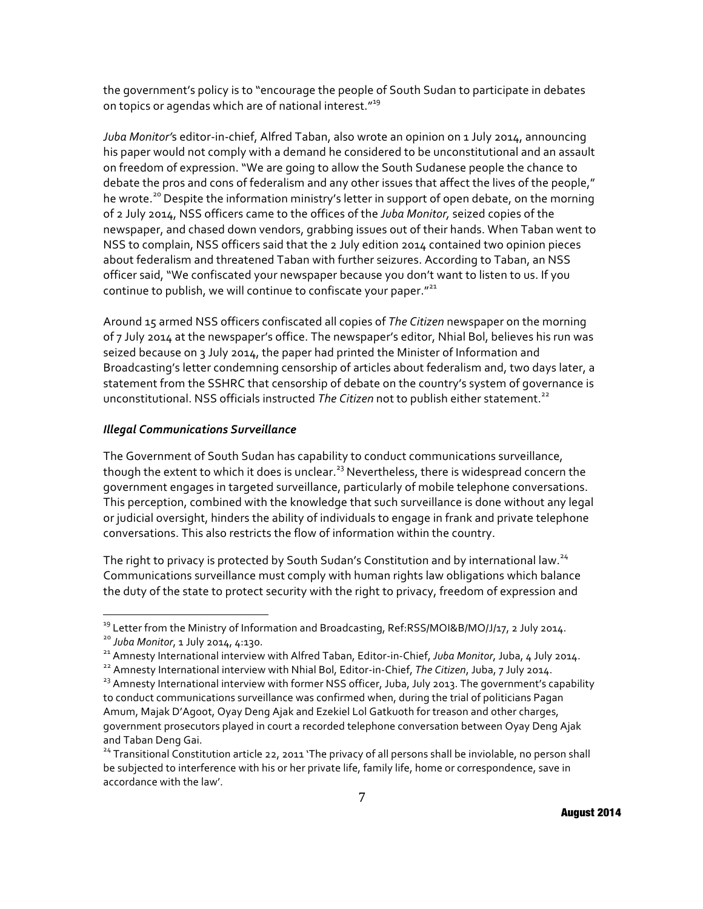the government's policy is to "encourage the people of South Sudan to participate in debates on topics or agendas which are of national interest."<sup>19</sup>

Juba Monitor's editor-in-chief, Alfred Taban, also wrote an opinion on 1 July 2014, announcing his paper would not comply with a demand he considered to be unconstitutional and an assault on freedom of expression. "We are going to allow the South Sudanese people the chance to debate the pros and cons of federalism and any other issues that affect the lives of the people," he wrote.<sup>20</sup> Despite the information ministry's letter in support of open debate, on the morning of 2 July 2014, NSS officers came to the offices of the *Juba Monitor*, seized copies of the newspaper, and chased down vendors, grabbing issues out of their hands. When Taban went to NSS to complain, NSS officers said that the 2 July edition 2014 contained two opinion pieces about federalism and threatened Taban with further seizures. According to Taban, an NSS officer said, "We confiscated your newspaper because you don't want to listen to us. If you continue to publish, we will continue to confiscate your paper. $"^{21}$ 

Around 15 armed NSS officers confiscated all copies of *The Citizen* newspaper on the morning of 7 July 2014 at the newspaper's office. The newspaper's editor, Nhial Bol, believes his run was seized because on 3 July 2014, the paper had printed the Minister of Information and Broadcasting's letter condemning censorship of articles about federalism and, two days later, a statement from the SSHRC that censorship of debate on the country's system of governance is unconstitutional. NSS officials instructed The Citizen not to publish either statement.<sup>22</sup>

## *Illegal\*Communications\*Surveillance*

The Government of South Sudan has capability to conduct communications surveillance, though the extent to which it does is unclear.<sup>23</sup> Nevertheless, there is widespread concern the government engages in targeted surveillance, particularly of mobile telephone conversations. This perception, combined with the knowledge that such surveillance is done without any legal or judicial oversight, hinders the ability of individuals to engage in frank and private telephone conversations. This also restricts the flow of information within the country.

The right to privacy is protected by South Sudan's Constitution and by international law.<sup>24</sup> Communications surveillance must comply with human rights law obligations which balance the duty of the state to protect security with the right to privacy, freedom of expression and

<sup>&</sup>lt;sup>19</sup> Letter from the Ministry of Information and Broadcasting, Ref:RSS/MOI&B/MO/J/17, 2 July 2014.<br><sup>20</sup> Juba Monitor, 1 July 2014, 4:130.<br><sup>21</sup> Amnesty International interview with Alfred Taban, Editor-in-Chief, Juba Monit

to conduct communications surveillance was confirmed when, during the trial of politicians Pagan Amum, Majak D'Agoot, Oyay Deng Ajak and Ezekiel Lol Gatkuoth for treason and other charges, government prosecutors played in court a recorded telephone conversation between Oyay Deng Ajak and Taban Deng Gai.

<sup>&</sup>lt;sup>24</sup> Transitional Constitution article 22, 2011 'The privacy of all persons shall be inviolable, no person shall be subjected to interference with his or her private life, family life, home or correspondence, save in accordance with the law'.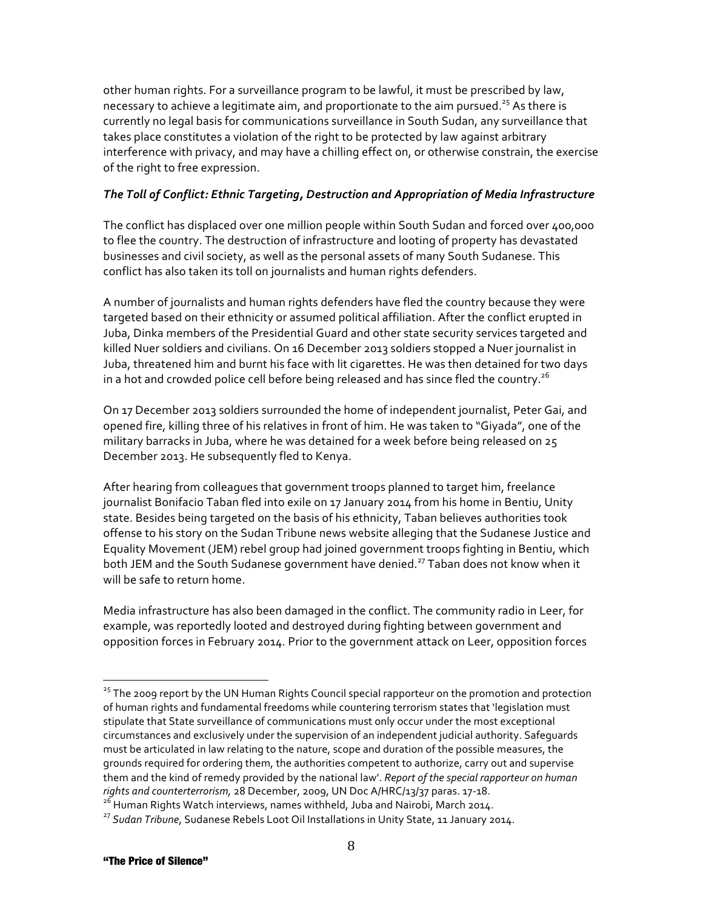other human rights. For a surveillance program to be lawful, it must be prescribed by law, necessary to achieve a legitimate aim, and proportionate to the aim pursued.<sup>25</sup> As there is currently no legal basis for communications surveillance in South Sudan, any surveillance that takes place constitutes a violation of the right to be protected by law against arbitrary interference with privacy, and may have a chilling effect on, or otherwise constrain, the exercise of the right to free expression.

# *The\*Toll\*of Conflict:\*Ethnic\*Targeting,\*Destruction and\*Appropriation\*of\*Media\*Infrastructure*

The conflict has displaced over one million people within South Sudan and forced over 400,000 to flee the country. The destruction of infrastructure and looting of property has devastated businesses and civil society, as well as the personal assets of many South Sudanese. This conflict has also taken its toll on journalists and human rights defenders.

A number of journalists and human rights defenders have fled the country because they were targeted based on their ethnicity or assumed political affiliation. After the conflict erupted in Juba, Dinka members of the Presidential Guard and other state security services targeted and killed Nuer soldiers and civilians. On 16 December 2013 soldiers stopped a Nuer journalist in Juba, threatened him and burnt his face with lit cigarettes. He was then detained for two days in a hot and crowded police cell before being released and has since fled the country. $^{26}$ 

On 17 December 2013 soldiers surrounded the home of independent journalist, Peter Gai, and opened fire, killing three of his relatives in front of him. He was taken to "Giyada", one of the military barracks in Juba, where he was detained for a week before being released on 25 December 2013. He subsequently fled to Kenya.

After hearing from colleagues that government troops planned to target him, freelance journalist Bonifacio Taban fled into exile on 17 January 2014 from his home in Bentiu, Unity state. Besides being targeted on the basis of his ethnicity, Taban believes authorities took offense to his story on the Sudan Tribune news website alleging that the Sudanese Justice and Equality Movement (JEM) rebel group had joined government troops fighting in Bentiu, which both JEM and the South Sudanese government have denied.<sup>27</sup> Taban does not know when it will be safe to return home.

Media infrastructure has also been damaged in the conflict. The community radio in Leer, for example, was reportedly looted and destroyed during fighting between government and opposition forces in February 2014. Prior to the government attack on Leer, opposition forces

<sup>&</sup>lt;sup>25</sup> The 2009 report by the UN Human Rights Council special rapporteur on the promotion and protection of human rights and fundamental freedoms while countering terrorism states that 'legislation must stipulate that State surveillance of communications must only occur under the most exceptional circumstances and exclusively under the supervision of an independent judicial authority. Safeguards must be articulated in law relating to the nature, scope and duration of the possible measures, the grounds required for ordering them, the authorities competent to authorize, carry out and supervise them and the kind of remedy provided by the national law'. *Report of the special rapporteur on human* rights and counterterrorism, 28 December, 2009, UN Doc A/HRC/13/37 paras. 17-18.<br><sup>26</sup> Human Rights Watch interviews, names withheld, Juba and Nairobi, March 2014.<br><sup>27</sup> Sudan Tribune, Sudanese Rebels Loot Oil Installations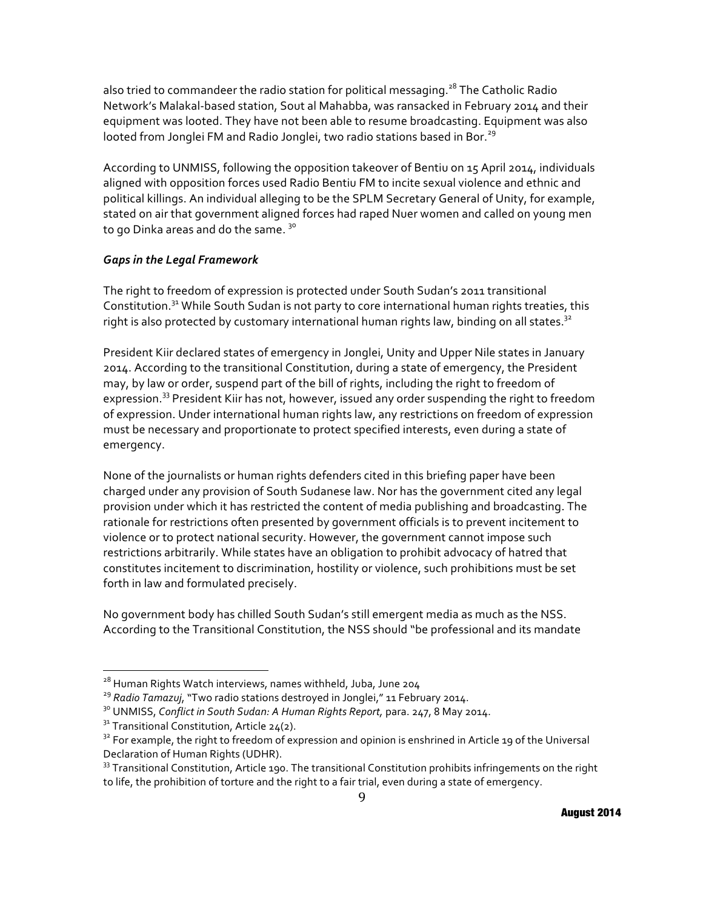also tried to commandeer the radio station for political messaging.<sup>28</sup> The Catholic Radio Network's Malakal-based station, Sout al Mahabba, was ransacked in February 2014 and their equipment was looted. They have not been able to resume broadcasting. Equipment was also looted from Jonglei FM and Radio Jonglei, two radio stations based in Bor.<sup>29</sup>

According to UNMISS, following the opposition takeover of Bentiu on 15 April 2014, individuals aligned with opposition forces used Radio Bentiu FM to incite sexual violence and ethnic and political killings. An individual alleging to be the SPLM Secretary General of Unity, for example, stated on air that government aligned forces had raped Nuer women and called on young men to go Dinka areas and do the same.  $30^\circ$ 

## *Gaps\*in\*the Legal\*Framework*

The right to freedom of expression is protected under South Sudan's 2011 transitional Constitution.<sup>31</sup> While South Sudan is not party to core international human rights treaties, this right is also protected by customary international human rights law, binding on all states.<sup>32</sup>

President Kiir declared states of emergency in Jonglei, Unity and Upper Nile states in January 2014. According to the transitional Constitution, during a state of emergency, the President may, by law or order, suspend part of the bill of rights, including the right to freedom of expression.<sup>33</sup> President Kiir has not, however, issued any order suspending the right to freedom of expression. Under international human rights law, any restrictions on freedom of expression must be necessary and proportionate to protect specified interests, even during a state of emergency.

None of the journalists or human rights defenders cited in this briefing paper have been charged under any provision of South Sudanese law. Nor has the government cited any legal provision under which it has restricted the content of media publishing and broadcasting. The rationale for restrictions often presented by government officials is to prevent incitement to violence or to protect national security. However, the government cannot impose such restrictions arbitrarily. While states have an obligation to prohibit advocacy of hatred that constitutes incitement to discrimination, hostility or violence, such prohibitions must be set forth in law and formulated precisely.

No government body has chilled South Sudan's still emergent media as much as the NSS. According to the Transitional Constitution, the NSS should "be professional and its mandate

<sup>&</sup>lt;sup>28</sup> Human Rights Watch interviews, names withheld, Juba, June 204<br><sup>29</sup> Radio Tamazuj, "Two radio stations destroyed in Jonglei," 11 February 2014.<br><sup>30</sup> UNMISS, *Conflict in South Sudan: A Human Rights Report*, para. 247,

Declaration of Human Rights (UDHR).

 $33$  Transitional Constitution, Article 190. The transitional Constitution prohibits infringements on the right to life, the prohibition of torture and the right to a fair trial, even during a state of emergency.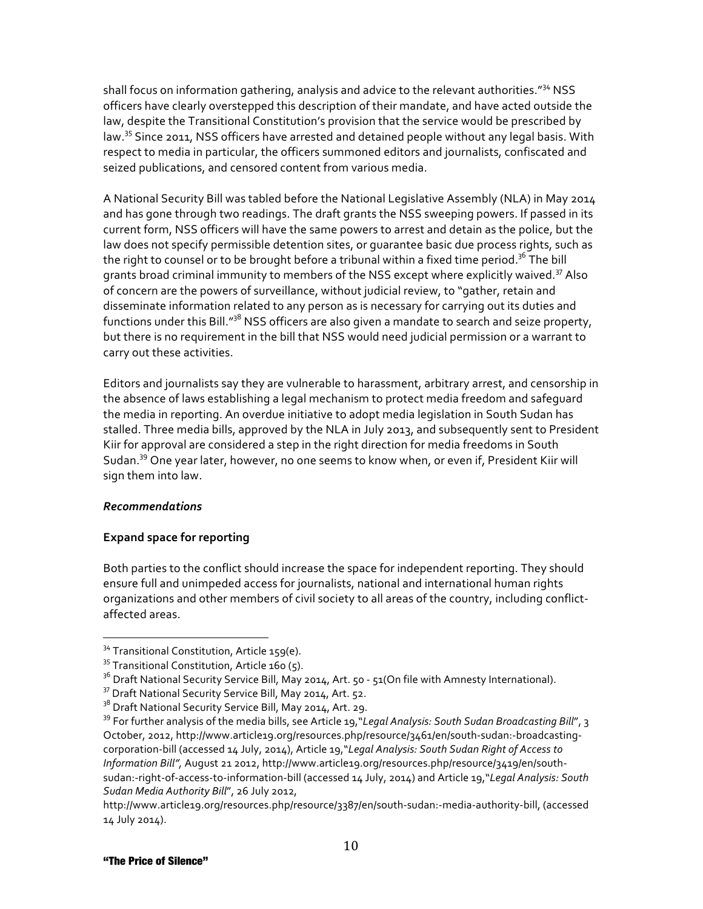shall focus on information gathering, analysis and advice to the relevant authorities."<sup>34</sup> NSS officers have clearly overstepped this description of their mandate, and have acted outside the law, despite the Transitional Constitution's provision that the service would be prescribed by law.<sup>35</sup> Since 2011, NSS officers have arrested and detained people without any legal basis. With respect to media in particular, the officers summoned editors and journalists, confiscated and seized publications, and censored content from various media.

A National Security Bill was tabled before the National Legislative Assembly (NLA) in May 2014 and has gone through two readings. The draft grants the NSS sweeping powers. If passed in its current form, NSS officers will have the same powers to arrest and detain as the police, but the law does not specify permissible detention sites, or quarantee basic due process rights, such as the right to counsel or to be brought before a tribunal within a fixed time period.<sup>36</sup> The bill grants broad criminal immunity to members of the NSS except where explicitly waived.<sup>37</sup> Also of concern are the powers of surveillance, without judicial review, to "gather, retain and disseminate information related to any person as is necessary for carrying out its duties and functions under this Bill."<sup>38</sup> NSS officers are also given a mandate to search and seize property, but there is no requirement in the bill that NSS would need judicial permission or a warrant to carry out these activities.

Editors and journalists say they are vulnerable to harassment, arbitrary arrest, and censorship in the absence of laws establishing a legal mechanism to protect media freedom and safeguard the media in reporting. An overdue initiative to adopt media legislation in South Sudan has stalled. Three media bills, approved by the NLA in July 2013, and subsequently sent to President Kiir for approval are considered a step in the right direction for media freedoms in South Sudan.<sup>39</sup> One year later, however, no one seems to know when, or even if, President Kiir will sign them into law.

## *Recommendations*

# **Expand space for reporting**

Both parties to the conflict should increase the space for independent reporting. They should ensure full and unimpeded access for journalists, national and international human rights organizations and other members of civil society to all areas of the country, including conflictaffected areas.

<sup>&</sup>lt;sup>34</sup> Transitional Constitution, Article 159(e).<br><sup>35</sup> Transitional Constitution, Article 160 (5).

<sup>&</sup>lt;sup>36</sup> Draft National Security Service Bill, May 2014, Art. 50 - 51(On file with Amnesty International).<br><sup>37</sup> Draft National Security Service Bill, May 2014, Art. 52.<br><sup>38</sup> Draft National Security Service Bill, May 2014, Art

<sup>&</sup>lt;sup>39</sup> For further analysis of the media bills, see Article 19, *"Legal Analysis: South Sudan Broadcasting Bill"*, 3 October, 2012, http://www.article19.org/resources.php/resource/3461/en/south-sudan:-broadcastingcorporation-bill (accessed 14 July, 2014), Article 19,"Legal Analysis: South Sudan Right of Access to Information Bill", August 21 2012, http://www.article19.org/resources.php/resource/3419/en/southsudan:-right-of-access-to-information-bill (accessed 14 July, 2014) and Article 19,"Legal Analysis: South Sudan Media Authority Bill", 26 July 2012,

http://www.article19.org/resources.php/resource/3387/en/south-sudan:-media-authority-bill, (accessed 14 July 2014).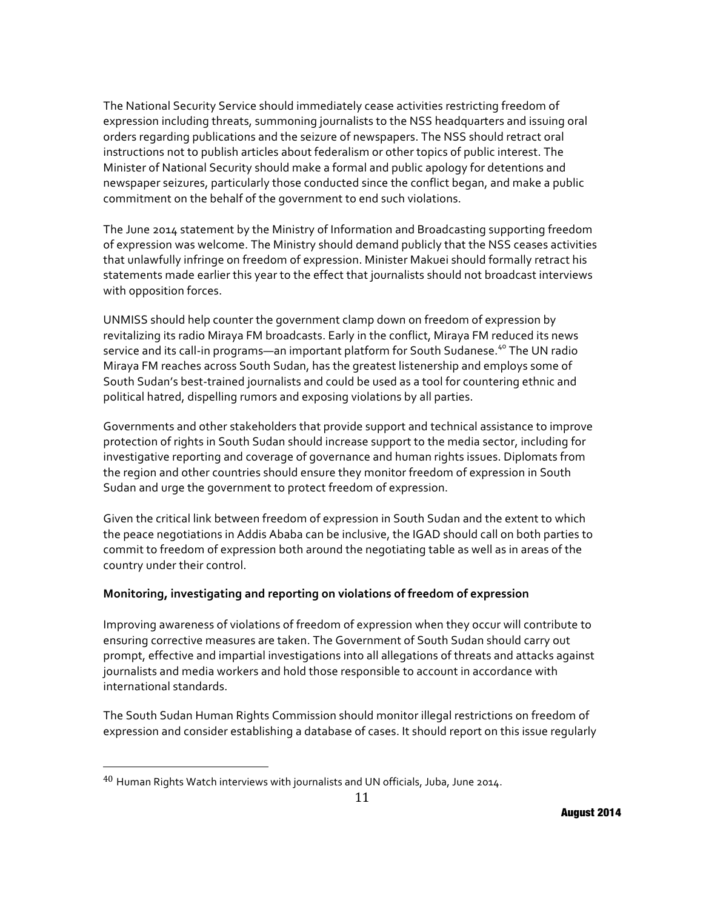The National Security Service should immediately cease activities restricting freedom of expression including threats, summoning journalists to the NSS headquarters and issuing oral orders regarding publications and the seizure of newspapers. The NSS should retract oral instructions not to publish articles about federalism or other topics of public interest. The Minister of National Security should make a formal and public apology for detentions and newspaper seizures, particularly those conducted since the conflict began, and make a public commitment on the behalf of the government to end such violations.

The June 2014 statement by the Ministry of Information and Broadcasting supporting freedom of expression was welcome. The Ministry should demand publicly that the NSS ceases activities that unlawfully infringe on freedom of expression. Minister Makuei should formally retract his statements made earlier this year to the effect that journalists should not broadcast interviews with opposition forces.

UNMISS should help counter the government clamp down on freedom of expression by revitalizing its radio Miraya FM broadcasts. Early in the conflict, Miraya FM reduced its news service and its call-in programs—an important platform for South Sudanese.<sup>40</sup> The UN radio Miraya FM reaches across South Sudan, has the greatest listenership and employs some of South Sudan's best-trained journalists and could be used as a tool for countering ethnic and political hatred, dispelling rumors and exposing violations by all parties.

Governments and other stakeholders that provide support and technical assistance to improve protection of rights in South Sudan should increase support to the media sector, including for investigative reporting and coverage of governance and human rights issues. Diplomats from the region and other countries should ensure they monitor freedom of expression in South Sudan and urge the government to protect freedom of expression.

Given the critical link between freedom of expression in South Sudan and the extent to which the peace negotiations in Addis Ababa can be inclusive, the IGAD should call on both parties to commit to freedom of expression both around the negotiating table as well as in areas of the country under their control.

# **Monitoring, investigating and reporting on violations of freedom of expression**

Improving awareness of violations of freedom of expression when they occur will contribute to ensuring corrective measures are taken. The Government of South Sudan should carry out prompt, effective and impartial investigations into all allegations of threats and attacks against journalists and media workers and hold those responsible to account in accordance with international standards.

The South Sudan Human Rights Commission should monitor illegal restrictions on freedom of expression and consider establishing a database of cases. It should report on this issue reqularly

!!!!!!!!!!!!!!!!!!!!!!!!!!!!!!!!!!!!!!!!!!!!!!!!!!!!!!!

 $40$  Human Rights Watch interviews with journalists and UN officials, Juba, June 2014.